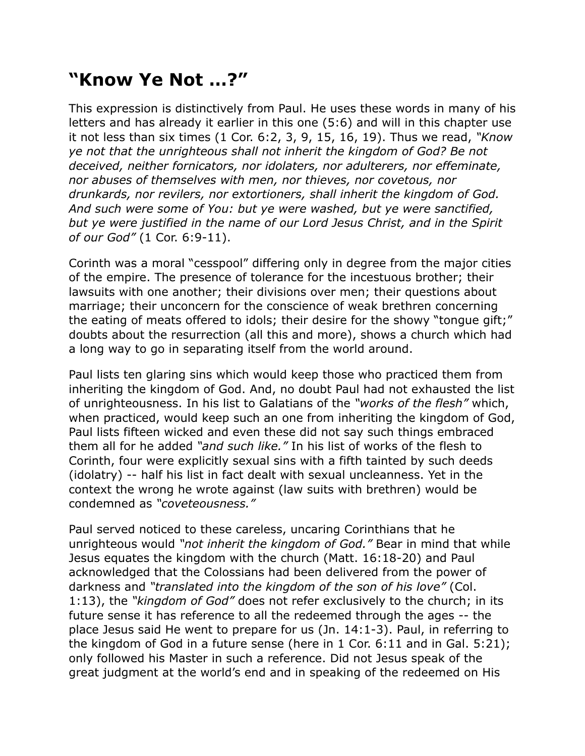## **"Know Ye Not …?"**

This expression is distinctively from Paul. He uses these words in many of his letters and has already it earlier in this one (5:6) and will in this chapter use it not less than six times (1 Cor. 6:2, 3, 9, 15, 16, 19). Thus we read, *"Know ye not that the unrighteous shall not inherit the kingdom of God? Be not deceived, neither fornicators, nor idolaters, nor adulterers, nor effeminate, nor abuses of themselves with men, nor thieves, nor covetous, nor drunkards, nor revilers, nor extortioners, shall inherit the kingdom of God. And such were some of You: but ye were washed, but ye were sanctified, but ye were justified in the name of our Lord Jesus Christ, and in the Spirit of our God"* (1 Cor. 6:9-11).

Corinth was a moral "cesspool" differing only in degree from the major cities of the empire. The presence of tolerance for the incestuous brother; their lawsuits with one another; their divisions over men; their questions about marriage; their unconcern for the conscience of weak brethren concerning the eating of meats offered to idols; their desire for the showy "tongue gift;" doubts about the resurrection (all this and more), shows a church which had a long way to go in separating itself from the world around.

Paul lists ten glaring sins which would keep those who practiced them from inheriting the kingdom of God. And, no doubt Paul had not exhausted the list of unrighteousness. In his list to Galatians of the *"works of the flesh"* which, when practiced, would keep such an one from inheriting the kingdom of God, Paul lists fifteen wicked and even these did not say such things embraced them all for he added *"and such like."* In his list of works of the flesh to Corinth, four were explicitly sexual sins with a fifth tainted by such deeds (idolatry) -- half his list in fact dealt with sexual uncleanness. Yet in the context the wrong he wrote against (law suits with brethren) would be condemned as *"coveteousness."*

Paul served noticed to these careless, uncaring Corinthians that he unrighteous would *"not inherit the kingdom of God."* Bear in mind that while Jesus equates the kingdom with the church (Matt. 16:18-20) and Paul acknowledged that the Colossians had been delivered from the power of darkness and *"translated into the kingdom of the son of his love"* (Col. 1:13), the *"kingdom of God"* does not refer exclusively to the church; in its future sense it has reference to all the redeemed through the ages -- the place Jesus said He went to prepare for us (Jn. 14:1-3). Paul, in referring to the kingdom of God in a future sense (here in 1 Cor. 6:11 and in Gal. 5:21); only followed his Master in such a reference. Did not Jesus speak of the great judgment at the world's end and in speaking of the redeemed on His